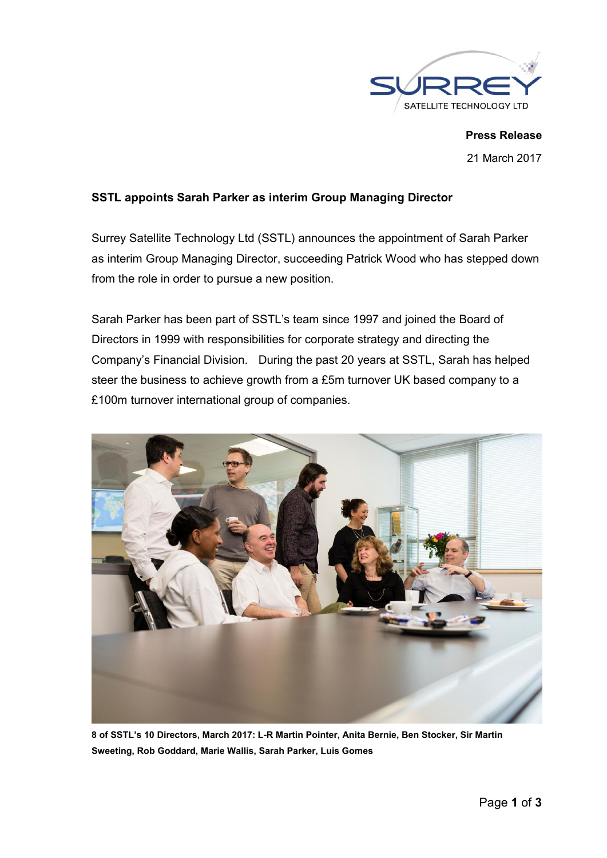

**Press Release** 21 March 2017

## **SSTL appoints Sarah Parker as interim Group Managing Director**

Surrey Satellite Technology Ltd (SSTL) announces the appointment of Sarah Parker as interim Group Managing Director, succeeding Patrick Wood who has stepped down from the role in order to pursue a new position.

Sarah Parker has been part of SSTL's team since 1997 and joined the Board of Directors in 1999 with responsibilities for corporate strategy and directing the Company's Financial Division. During the past 20 years at SSTL, Sarah has helped steer the business to achieve growth from a £5m turnover UK based company to a £100m turnover international group of companies.



**8 of SSTL's 10 Directors, March 2017: L-R Martin Pointer, Anita Bernie, Ben Stocker, Sir Martin Sweeting, Rob Goddard, Marie Wallis, Sarah Parker, Luis Gomes**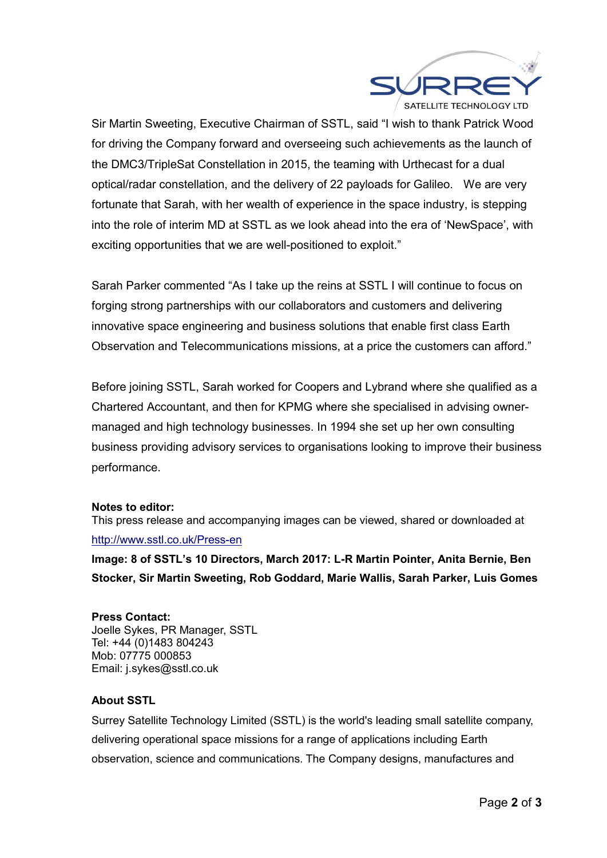

Sir Martin Sweeting, Executive Chairman of SSTL, said "I wish to thank Patrick Wood for driving the Company forward and overseeing such achievements as the launch of the DMC3/TripleSat Constellation in 2015, the teaming with Urthecast for a dual optical/radar constellation, and the delivery of 22 payloads for Galileo. We are very fortunate that Sarah, with her wealth of experience in the space industry, is stepping into the role of interim MD at SSTL as we look ahead into the era of 'NewSpace', with exciting opportunities that we are well-positioned to exploit."

Sarah Parker commented "As I take up the reins at SSTL I will continue to focus on forging strong partnerships with our collaborators and customers and delivering innovative space engineering and business solutions that enable first class Earth Observation and Telecommunications missions, at a price the customers can afford."

Before joining SSTL, Sarah worked for Coopers and Lybrand where she qualified as a Chartered Accountant, and then for KPMG where she specialised in advising ownermanaged and high technology businesses. In 1994 she set up her own consulting business providing advisory services to organisations looking to improve their business performance.

## **Notes to editor:**

This press release and accompanying images can be viewed, shared or downloaded at http://www.sstl.co.uk/Press-en

**Image: 8 of SSTL's 10 Directors, March 2017: L-R Martin Pointer, Anita Bernie, Ben Stocker, Sir Martin Sweeting, Rob Goddard, Marie Wallis, Sarah Parker, Luis Gomes**

## **Press Contact:**

Joelle Sykes, PR Manager, SSTL Tel: +44 (0)1483 804243 Mob: 07775 000853 Email: j.sykes@sstl.co.uk

## **About SSTL**

Surrey Satellite Technology Limited (SSTL) is the world's leading small satellite company, delivering operational space missions for a range of applications including Earth observation, science and communications. The Company designs, manufactures and